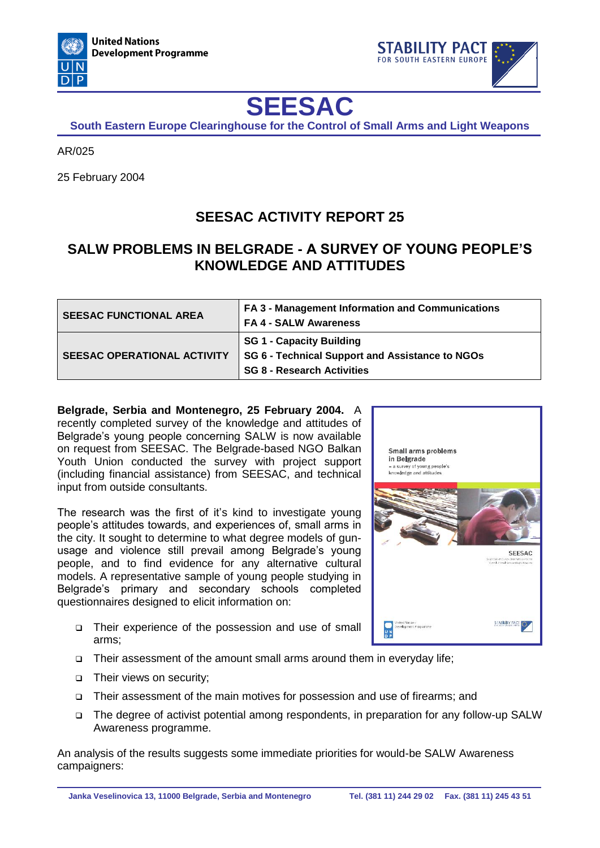



## **SEESAC**

**South Eastern Europe Clearinghouse for the Control of Small Arms and Light Weapons**

AR/025

25 February 2004

## **SEESAC ACTIVITY REPORT 25**

## **SALW PROBLEMS IN BELGRADE - A SURVEY OF YOUNG PEOPLE'S KNOWLEDGE AND ATTITUDES**

| <b>SEESAC FUNCTIONAL AREA</b>      | FA 3 - Management Information and Communications<br><b>FA 4 - SALW Awareness</b>                                        |
|------------------------------------|-------------------------------------------------------------------------------------------------------------------------|
| <b>SEESAC OPERATIONAL ACTIVITY</b> | <b>SG 1 - Capacity Building</b><br>SG 6 - Technical Support and Assistance to NGOs<br><b>SG 8 - Research Activities</b> |

**Belgrade, Serbia and Montenegro, 25 February 2004.** A recently completed survey of the knowledge and attitudes of Belgrade's young people concerning SALW is now available on request from SEESAC. The Belgrade-based NGO Balkan Youth Union conducted the survey with project support (including financial assistance) from SEESAC, and technical input from outside consultants.

The research was the first of it's kind to investigate young people's attitudes towards, and experiences of, small arms in the city. It sought to determine to what degree models of gunusage and violence still prevail among Belgrade's young people, and to find evidence for any alternative cultural models. A representative sample of young people studying in Belgrade's primary and secondary schools completed questionnaires designed to elicit information on:

- Their experience of the possession and use of small arms;
- Their assessment of the amount small arms around them in everyday life;
- □ Their views on security;
- Their assessment of the main motives for possession and use of firearms; and
- The degree of activist potential among respondents, in preparation for any follow-up SALW Awareness programme.

An analysis of the results suggests some immediate priorities for would-be SALW Awareness campaigners: